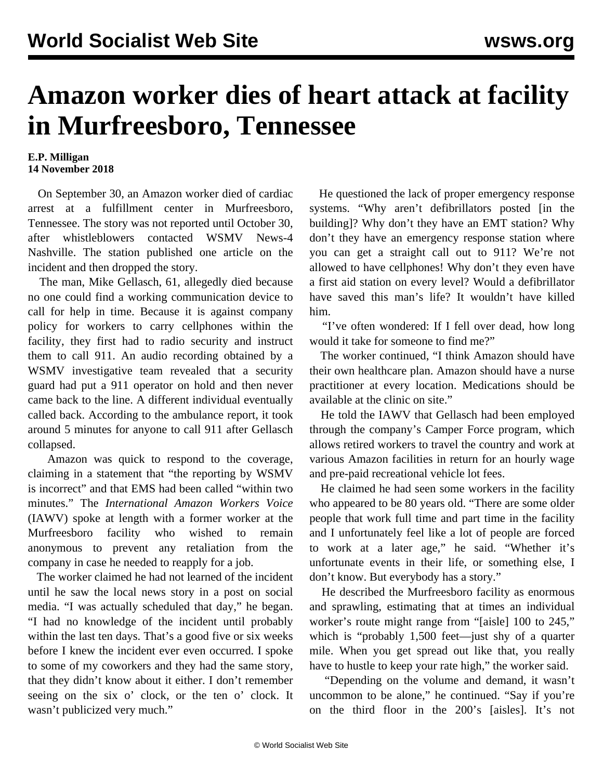## **Amazon worker dies of heart attack at facility in Murfreesboro, Tennessee**

## **E.P. Milligan 14 November 2018**

 On September 30, an Amazon worker died of cardiac arrest at a fulfillment center in Murfreesboro, Tennessee. The story was not reported until October 30, after whistleblowers contacted WSMV News-4 Nashville. The station published one article on the incident and then dropped the story.

 The man, Mike Gellasch, 61, allegedly died because no one could find a working communication device to call for help in time. Because it is against company policy for workers to carry cellphones within the facility, they first had to radio security and instruct them to call 911. An audio recording obtained by a WSMV investigative team revealed that a security guard had put a 911 operator on hold and then never came back to the line. A different individual eventually called back. According to the ambulance report, it took around 5 minutes for anyone to call 911 after Gellasch collapsed.

 Amazon was quick to respond to the coverage, claiming in a statement that "the reporting by WSMV is incorrect" and that EMS had been called "within two minutes." The *International Amazon Workers Voice* (IAWV) spoke at length with a former worker at the Murfreesboro facility who wished to remain anonymous to prevent any retaliation from the company in case he needed to reapply for a job.

 The worker claimed he had not learned of the incident until he saw the local news story in a post on social media. "I was actually scheduled that day," he began. "I had no knowledge of the incident until probably within the last ten days. That's a good five or six weeks before I knew the incident ever even occurred. I spoke to some of my coworkers and they had the same story, that they didn't know about it either. I don't remember seeing on the six o' clock, or the ten o' clock. It wasn't publicized very much."

 He questioned the lack of proper emergency response systems. "Why aren't defibrillators posted [in the building]? Why don't they have an EMT station? Why don't they have an emergency response station where you can get a straight call out to 911? We're not allowed to have cellphones! Why don't they even have a first aid station on every level? Would a defibrillator have saved this man's life? It wouldn't have killed him.

 "I've often wondered: If I fell over dead, how long would it take for someone to find me?"

 The worker continued, "I think Amazon should have their own healthcare plan. Amazon should have a nurse practitioner at every location. Medications should be available at the clinic on site."

 He told the IAWV that Gellasch had been employed through the company's Camper Force program, which allows retired workers to travel the country and work at various Amazon facilities in return for an hourly wage and pre-paid recreational vehicle lot fees.

 He claimed he had seen some workers in the facility who appeared to be 80 years old. "There are some older people that work full time and part time in the facility and I unfortunately feel like a lot of people are forced to work at a later age," he said. "Whether it's unfortunate events in their life, or something else, I don't know. But everybody has a story."

 He described the Murfreesboro facility as enormous and sprawling, estimating that at times an individual worker's route might range from "[aisle] 100 to 245," which is "probably 1,500 feet—just shy of a quarter mile. When you get spread out like that, you really have to hustle to keep your rate high," the worker said.

 "Depending on the volume and demand, it wasn't uncommon to be alone," he continued. "Say if you're on the third floor in the 200's [aisles]. It's not